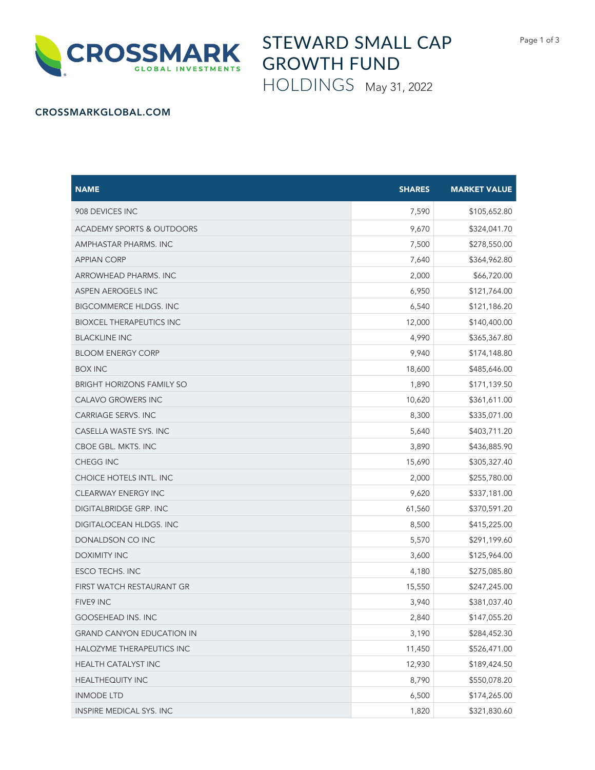



STEWARD SMALL CAP GROWTH FUND

HOLDINGS May 31, 2022

## CROSSMARKGLOBAL.COM

| <b>NAME</b>                          | <b>SHARES</b> | <b>MARKET VALUE</b> |
|--------------------------------------|---------------|---------------------|
| 908 DEVICES INC                      | 7,590         | \$105,652.80        |
| <b>ACADEMY SPORTS &amp; OUTDOORS</b> | 9,670         | \$324,041.70        |
| AMPHASTAR PHARMS. INC                | 7,500         | \$278,550.00        |
| <b>APPIAN CORP</b>                   | 7,640         | \$364,962.80        |
| ARROWHEAD PHARMS. INC                | 2,000         | \$66,720.00         |
| ASPEN AEROGELS INC                   | 6,950         | \$121,764.00        |
| <b>BIGCOMMERCE HLDGS. INC</b>        | 6,540         | \$121,186.20        |
| <b>BIOXCEL THERAPEUTICS INC</b>      | 12,000        | \$140,400.00        |
| <b>BLACKLINE INC</b>                 | 4,990         | \$365,367.80        |
| <b>BLOOM ENERGY CORP</b>             | 9,940         | \$174,148.80        |
| <b>BOX INC</b>                       | 18,600        | \$485,646.00        |
| <b>BRIGHT HORIZONS FAMILY SO</b>     | 1,890         | \$171,139.50        |
| <b>CALAVO GROWERS INC</b>            | 10,620        | \$361,611.00        |
| <b>CARRIAGE SERVS. INC</b>           | 8,300         | \$335,071.00        |
| CASELLA WASTE SYS. INC               | 5,640         | \$403,711.20        |
| CBOE GBL. MKTS. INC                  | 3,890         | \$436,885.90        |
| CHEGG INC                            | 15,690        | \$305,327.40        |
| CHOICE HOTELS INTL. INC              | 2,000         | \$255,780.00        |
| <b>CLEARWAY ENERGY INC</b>           | 9,620         | \$337,181.00        |
| DIGITALBRIDGE GRP. INC               | 61,560        | \$370,591.20        |
| DIGITALOCEAN HLDGS. INC              | 8,500         | \$415,225.00        |
| DONALDSON CO INC                     | 5,570         | \$291,199.60        |
| DOXIMITY INC                         | 3,600         | \$125,964.00        |
| ESCO TECHS. INC                      | 4,180         | \$275,085.80        |
| FIRST WATCH RESTAURANT GR            | 15,550        | \$247,245.00        |
| FIVE9 INC                            | 3,940         | \$381,037.40        |
| <b>GOOSEHEAD INS. INC</b>            | 2,840         | \$147,055.20        |
| <b>GRAND CANYON EDUCATION IN</b>     | 3,190         | \$284,452.30        |
| HALOZYME THERAPEUTICS INC            | 11,450        | \$526,471.00        |
| HEALTH CATALYST INC                  | 12,930        | \$189,424.50        |
| <b>HEALTHEQUITY INC</b>              | 8,790         | \$550,078.20        |
| <b>INMODE LTD</b>                    | 6,500         | \$174,265.00        |
| INSPIRE MEDICAL SYS. INC             | 1,820         | \$321,830.60        |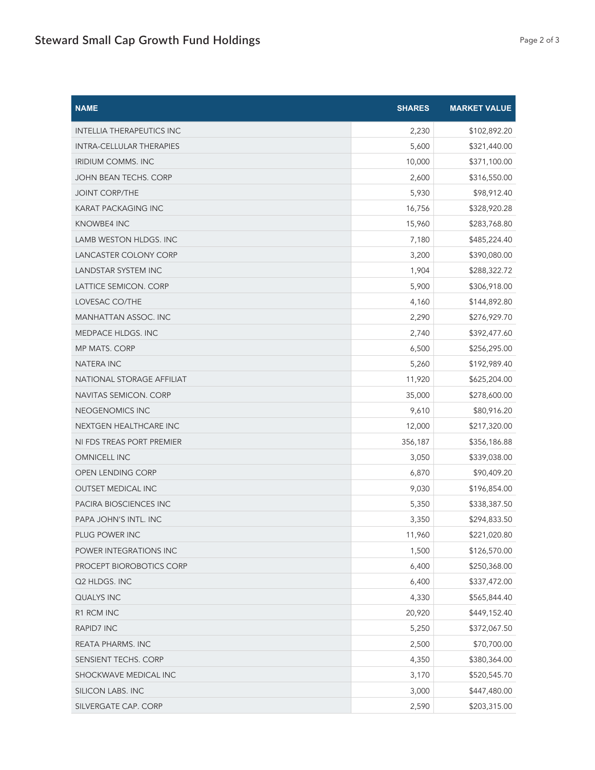| <b>NAME</b>                      | <b>SHARES</b> | <b>MARKET VALUE</b> |
|----------------------------------|---------------|---------------------|
| <b>INTELLIA THERAPEUTICS INC</b> | 2,230         | \$102,892.20        |
| <b>INTRA-CELLULAR THERAPIES</b>  | 5,600         | \$321,440.00        |
| <b>IRIDIUM COMMS. INC</b>        | 10,000        | \$371,100.00        |
| JOHN BEAN TECHS. CORP            | 2,600         | \$316,550.00        |
| <b>JOINT CORP/THE</b>            | 5,930         | \$98,912.40         |
| <b>KARAT PACKAGING INC</b>       | 16,756        | \$328,920.28        |
| <b>KNOWBE4 INC</b>               | 15,960        | \$283,768.80        |
| LAMB WESTON HLDGS. INC           | 7,180         | \$485,224.40        |
| LANCASTER COLONY CORP            | 3,200         | \$390,080.00        |
| LANDSTAR SYSTEM INC              | 1,904         | \$288,322.72        |
| LATTICE SEMICON. CORP            | 5,900         | \$306,918.00        |
| LOVESAC CO/THE                   | 4,160         | \$144,892.80        |
| MANHATTAN ASSOC. INC             | 2,290         | \$276,929.70        |
| MEDPACE HLDGS. INC               | 2,740         | \$392,477.60        |
| <b>MP MATS. CORP</b>             | 6,500         | \$256,295.00        |
| <b>NATERA INC</b>                | 5,260         | \$192,989.40        |
| NATIONAL STORAGE AFFILIAT        | 11,920        | \$625,204.00        |
| NAVITAS SEMICON. CORP            | 35,000        | \$278,600.00        |
| NEOGENOMICS INC                  | 9,610         | \$80,916.20         |
| NEXTGEN HEALTHCARE INC           | 12,000        | \$217,320.00        |
| NI FDS TREAS PORT PREMIER        | 356,187       | \$356,186.88        |
| <b>OMNICELL INC</b>              | 3,050         | \$339,038.00        |
| OPEN LENDING CORP                | 6,870         | \$90,409.20         |
| <b>OUTSET MEDICAL INC</b>        | 9,030         | \$196,854.00        |
| PACIRA BIOSCIENCES INC           | 5,350         | \$338,387.50        |
| PAPA JOHN'S INTL. INC            | 3,350         | \$294,833.50        |
| PLUG POWER INC                   | 11,960        | \$221,020.80        |
| POWER INTEGRATIONS INC           | 1,500         | \$126,570.00        |
| PROCEPT BIOROBOTICS CORP         | 6,400         | \$250,368.00        |
| Q2 HLDGS. INC                    | 6,400         | \$337,472.00        |
| QUALYS INC                       | 4,330         | \$565,844.40        |
| R1 RCM INC                       | 20,920        | \$449,152.40        |
| RAPID7 INC                       | 5,250         | \$372,067.50        |
| REATA PHARMS. INC                | 2,500         | \$70,700.00         |
| SENSIENT TECHS. CORP             | 4,350         | \$380,364.00        |
| SHOCKWAVE MEDICAL INC            | 3,170         | \$520,545.70        |
| SILICON LABS. INC                | 3,000         | \$447,480.00        |
| SILVERGATE CAP. CORP             | 2,590         | \$203,315.00        |